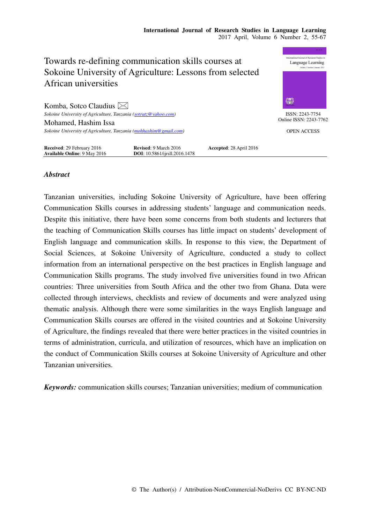

# *Abstract*

Tanzanian universities, including Sokoine University of Agriculture, have been offering Communication Skills courses in addressing students' language and communication needs. Despite this initiative, there have been some concerns from both students and lecturers that the teaching of Communication Skills courses has little impact on students' development of English language and communication skills. In response to this view, the Department of Social Sciences, at Sokoine University of Agriculture, conducted a study to collect information from an international perspective on the best practices in English language and Communication Skills programs. The study involved five universities found in two African countries: Three universities from South Africa and the other two from Ghana. Data were collected through interviews, checklists and review of documents and were analyzed using thematic analysis. Although there were some similarities in the ways English language and Communication Skills courses are offered in the visited countries and at Sokoine University of Agriculture, the findings revealed that there were better practices in the visited countries in terms of administration, curricula, and utilization of resources, which have an implication on the conduct of Communication Skills courses at Sokoine University of Agriculture and other Tanzanian universities.

*Keywords:* communication skills courses; Tanzanian universities; medium of communication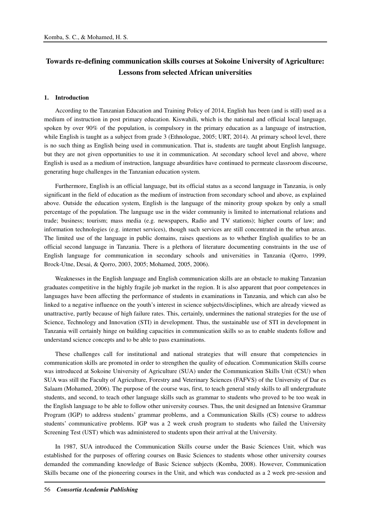# **Towards re-defining communication skills courses at Sokoine University of Agriculture: Lessons from selected African universities**

#### **1. Introduction**

According to the Tanzanian Education and Training Policy of 2014, English has been (and is still) used as a medium of instruction in post primary education. Kiswahili, which is the national and official local language, spoken by over 90% of the population, is compulsory in the primary education as a language of instruction, while English is taught as a subject from grade 3 (Ethnologue, 2005; URT, 2014). At primary school level, there is no such thing as English being used in communication. That is, students are taught about English language, but they are not given opportunities to use it in communication. At secondary school level and above, where English is used as a medium of instruction, language absurdities have continued to permeate classroom discourse, generating huge challenges in the Tanzanian education system.

Furthermore, English is an official language, but its official status as a second language in Tanzania, is only significant in the field of education as the medium of instruction from secondary school and above, as explained above. Outside the education system, English is the language of the minority group spoken by only a small percentage of the population. The language use in the wider community is limited to international relations and trade; business; tourism; mass media (e.g. newspapers, Radio and TV stations); higher courts of law; and information technologies (e.g. internet services), though such services are still concentrated in the urban areas. The limited use of the language in public domains, raises questions as to whether English qualifies to be an official second language in Tanzania. There is a plethora of literature documenting constraints in the use of English language for communication in secondary schools and universities in Tanzania (Qorro, 1999, Brock-Utne, Desai, & Qorro, 2003, 2005; Mohamed, 2005, 2006).

Weaknesses in the English language and English communication skills are an obstacle to making Tanzanian graduates competitive in the highly fragile job market in the region. It is also apparent that poor competences in languages have been affecting the performance of students in examinations in Tanzania, and which can also be linked to a negative influence on the youth's interest in science subjects/disciplines, which are already viewed as unattractive, partly because of high failure rates. This, certainly, undermines the national strategies for the use of Science, Technology and Innovation (STI) in development. Thus, the sustainable use of STI in development in Tanzania will certainly hinge on building capacities in communication skills so as to enable students follow and understand science concepts and to be able to pass examinations.

These challenges call for institutional and national strategies that will ensure that competencies in communication skills are promoted in order to strengthen the quality of education. Communication Skills course was introduced at Sokoine University of Agriculture (SUA) under the Communication Skills Unit (CSU) when SUA was still the Faculty of Agriculture, Forestry and Veterinary Sciences (FAFVS) of the University of Dar es Salaam (Mohamed, 2006). The purpose of the course was, first, to teach general study skills to all undergraduate students, and second, to teach other language skills such as grammar to students who proved to be too weak in the English language to be able to follow other university courses. Thus, the unit designed an Intensive Grammar Program (IGP) to address students' grammar problems, and a Communication Skills (CS) course to address students' communicative problems. IGP was a 2 week crush program to students who failed the University Screening Test (UST) which was administered to students upon their arrival at the University.

In 1987, SUA introduced the Communication Skills course under the Basic Sciences Unit, which was established for the purposes of offering courses on Basic Sciences to students whose other university courses demanded the commanding knowledge of Basic Science subjects (Komba, 2008). However, Communication Skills became one of the pioneering courses in the Unit, and which was conducted as a 2 week pre-session and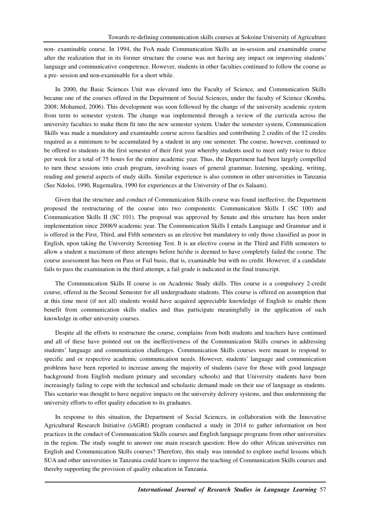non- examinable course. In 1994, the FoA made Communication Skills an in-session and examinable course after the realization that in its former structure the course was not having any impact on improving students' language and communicative competence. However, students in other faculties continued to follow the course as a pre- session and non-examinable for a short while.

In 2000, the Basic Sciences Unit was elevated into the Faculty of Science, and Communication Skills became one of the courses offered in the Department of Social Sciences, under the faculty of Science (Komba, 2008; Mohamed, 2006). This development was soon followed by the change of the university academic system from term to semester system. The change was implemented through a review of the curricula across the university faculties to make them fit into the new semester system. Under the semester system, Communication Skills was made a mandatory and examinable course across faculties and contributing 2 credits of the 12 credits required as a minimum to be accumulated by a student in any one semester. The course, however, continued to be offered to students in the first semester of their first year whereby students used to meet only twice to thrice per week for a total of 75 hours for the entire academic year. Thus, the Department had been largely compelled to turn these sessions into crash program, involving issues of general grammar, listening, speaking, writing, reading and general aspects of study skills. Similar experience is also common in other universities in Tanzania (See Ndoloi, 1990, Rugemalira, 1990 for experiences at the University of Dar es Salaam).

Given that the structure and conduct of Communication Skills course was found ineffective, the Department proposed the restructuring of the course into two components: Communication Skills I (SC 100) and Communication Skills II (SC 101). The proposal was approved by Senate and this structure has been under implementation since 2008/9 academic year. The Communication Skills I entails Language and Grammar and it is offered in the First, Third, and Fifth semesters as an elective but mandatory to only those classified as poor in English, upon taking the University Screening Test. It is an elective course in the Third and Fifth semesters to allow a student a maximum of three attempts before he/she is deemed to have completely failed the course. The course assessment has been on Pass or Fail basis, that is, examinable but with no credit. However, if a candidate fails to pass the examination in the third attempt, a fail grade is indicated in the final transcript.

The Communication Skills II course is on Academic Study skills. This course is a compulsory 2-credit course, offered in the Second Semester for all undergraduate students. This course is offered on assumption that at this time most (if not all) students would have acquired appreciable knowledge of English to enable them benefit from communication skills studies and thus participate meaningfully in the application of such knowledge in other university courses.

Despite all the efforts to restructure the course, complains from both students and teachers have continued and all of these have pointed out on the ineffectiveness of the Communication Skills courses in addressing students' language and communication challenges. Communication Skills courses were meant to respond to specific and or respective academic communication needs. However, students' language and communication problems have been reported to increase among the majority of students (save for those with good language background from English medium primary and secondary schools) and that University students have been increasingly failing to cope with the technical and scholastic demand made on their use of language as students. This scenario was thought to have negative impacts on the university delivery systems, and thus undermining the university efforts to offer quality education to its graduates.

In response to this situation, the Department of Social Sciences, in collaboration with the Innovative Agricultural Research Initiative (iAGRI) program conducted a study in 2014 to gather information on best practices in the conduct of Communication Skills courses and English language programs from other universities in the region. The study sought to answer one main research question: How do other African universities run English and Communication Skills courses? Therefore, this study was intended to explore useful lessons which SUA and other universities in Tanzania could learn to improve the teaching of Communication Skills courses and thereby supporting the provision of quality education in Tanzania.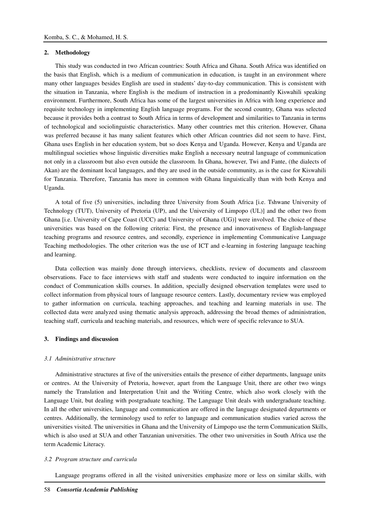### **2. Methodology**

This study was conducted in two African countries: South Africa and Ghana. South Africa was identified on the basis that English, which is a medium of communication in education, is taught in an environment where many other languages besides English are used in students' day-to-day communication. This is consistent with the situation in Tanzania, where English is the medium of instruction in a predominantly Kiswahili speaking environment. Furthermore, South Africa has some of the largest universities in Africa with long experience and requisite technology in implementing English language programs. For the second country, Ghana was selected because it provides both a contrast to South Africa in terms of development and similarities to Tanzania in terms of technological and sociolinguistic characteristics. Many other countries met this criterion. However, Ghana was preferred because it has many salient features which other African countries did not seem to have. First, Ghana uses English in her education system, but so does Kenya and Uganda. However, Kenya and Uganda are multilingual societies whose linguistic diversities make English a necessary neutral language of communication not only in a classroom but also even outside the classroom. In Ghana, however, Twi and Fante, (the dialects of Akan) are the dominant local languages, and they are used in the outside community, as is the case for Kiswahili for Tanzania. Therefore, Tanzania has more in common with Ghana linguistically than with both Kenya and Uganda.

A total of five (5) universities, including three University from South Africa [i.e. Tshwane University of Technology (TUT), University of Pretoria (UP), and the University of Limpopo (UL)] and the other two from Ghana [i.e. University of Cape Coast (UCC) and University of Ghana (UG)] were involved. The choice of these universities was based on the following criteria: First, the presence and innovativeness of English-language teaching programs and resource centres, and secondly, experience in implementing Communicative Language Teaching methodologies. The other criterion was the use of ICT and e-learning in fostering language teaching and learning.

Data collection was mainly done through interviews, checklists, review of documents and classroom observations. Face to face interviews with staff and students were conducted to inquire information on the conduct of Communication skills courses. In addition, specially designed observation templates were used to collect information from physical tours of language resource centers. Lastly, documentary review was employed to gather information on curricula, teaching approaches, and teaching and learning materials in use. The collected data were analyzed using thematic analysis approach, addressing the broad themes of administration, teaching staff, curricula and teaching materials, and resources, which were of specific relevance to SUA.

### **3. Findings and discussion**

#### *3.1 Administrative structure*

Administrative structures at five of the universities entails the presence of either departments, language units or centres. At the University of Pretoria, however, apart from the Language Unit, there are other two wings namely the Translation and Interpretation Unit and the Writing Centre, which also work closely with the Language Unit, but dealing with postgraduate teaching. The Language Unit deals with undergraduate teaching. In all the other universities, language and communication are offered in the language designated departments or centres. Additionally, the terminology used to refer to language and communication studies varied across the universities visited. The universities in Ghana and the University of Limpopo use the term Communication Skills, which is also used at SUA and other Tanzanian universities. The other two universities in South Africa use the term Academic Literacy.

# *3.2 Program structure and curricula*

Language programs offered in all the visited universities emphasize more or less on similar skills, with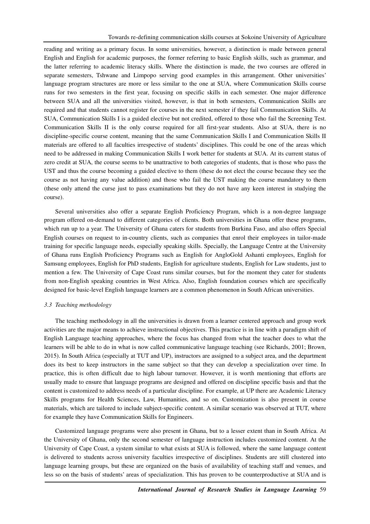reading and writing as a primary focus. In some universities, however, a distinction is made between general English and English for academic purposes, the former referring to basic English skills, such as grammar, and the latter referring to academic literacy skills. Where the distinction is made, the two courses are offered in separate semesters, Tshwane and Limpopo serving good examples in this arrangement. Other universities' language program structures are more or less similar to the one at SUA, where Communication Skills course runs for two semesters in the first year, focusing on specific skills in each semester. One major difference between SUA and all the universities visited, however, is that in both semesters, Communication Skills are required and that students cannot register for courses in the next semester if they fail Communication Skills. At SUA, Communication Skills I is a guided elective but not credited, offered to those who fail the Screening Test. Communication Skills II is the only course required for all first-year students. Also at SUA, there is no discipline-specific course content, meaning that the same Communication Skills I and Communication Skills II materials are offered to all faculties irrespective of students' disciplines. This could be one of the areas which need to be addressed in making Communication Skills I work better for students at SUA. At its current status of zero credit at SUA, the course seems to be unattractive to both categories of students, that is those who pass the UST and thus the course becoming a guided elective to them (these do not elect the course because they see the course as not having any value addition) and those who fail the UST making the course mandatory to them (these only attend the curse just to pass examinations but they do not have any keen interest in studying the course).

Several universities also offer a separate English Proficiency Program, which is a non-degree language program offered on-demand to different categories of clients. Both universities in Ghana offer these programs, which run up to a year. The University of Ghana caters for students from Burkina Faso, and also offers Special English courses on request to in-country clients, such as companies that enrol their employees in tailor-made training for specific language needs, especially speaking skills. Specially, the Language Centre at the University of Ghana runs English Proficiency Programs such as English for AngloGold Ashanti employees, English for Samsung employees, English for PhD students, English for agriculture students, English for Law students, just to mention a few. The University of Cape Coast runs similar courses, but for the moment they cater for students from non-English speaking countries in West Africa. Also, English foundation courses which are specifically designed for basic-level English language learners are a common phenomenon in South African universities.

### *3.3 Teaching methodology*

The teaching methodology in all the universities is drawn from a learner centered approach and group work activities are the major means to achieve instructional objectives. This practice is in line with a paradigm shift of English Language teaching approaches, where the focus has changed from what the teacher does to what the learners will be able to do in what is now called communicative language teaching (see Richards, 2001; Brown, 2015). In South Africa (especially at TUT and UP), instructors are assigned to a subject area, and the department does its best to keep instructors in the same subject so that they can develop a specialization over time. In practice, this is often difficult due to high labour turnover. However, it is worth mentioning that efforts are usually made to ensure that language programs are designed and offered on discipline specific basis and that the content is customized to address needs of a particular discipline. For example, at UP there are Academic Literacy Skills programs for Health Sciences, Law, Humanities, and so on. Customization is also present in course materials, which are tailored to include subject-specific content. A similar scenario was observed at TUT, where for example they have Communication Skills for Engineers.

Customized language programs were also present in Ghana, but to a lesser extent than in South Africa. At the University of Ghana, only the second semester of language instruction includes customized content. At the University of Cape Coast, a system similar to what exists at SUA is followed, where the same language content is delivered to students across university faculties irrespective of disciplines. Students are still clustered into language learning groups, but these are organized on the basis of availability of teaching staff and venues, and less so on the basis of students' areas of specialization. This has proven to be counterproductive at SUA and is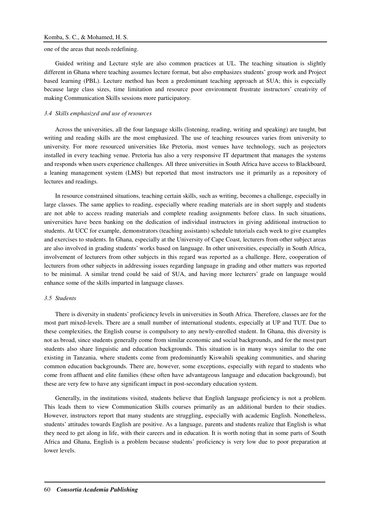one of the areas that needs redefining.

Guided writing and Lecture style are also common practices at UL. The teaching situation is slightly different in Ghana where teaching assumes lecture format, but also emphasizes students' group work and Project based learning (PBL). Lecture method has been a predominant teaching approach at SUA; this is especially because large class sizes, time limitation and resource poor environment frustrate instructors' creativity of making Communication Skills sessions more participatory.

#### *3.4 Skills emphasized and use of resources*

Across the universities, all the four language skills (listening, reading, writing and speaking) are taught, but writing and reading skills are the most emphasized. The use of teaching resources varies from university to university. For more resourced universities like Pretoria, most venues have technology, such as projectors installed in every teaching venue. Pretoria has also a very responsive IT department that manages the systems and responds when users experience challenges. All three universities in South Africa have access to Blackboard, a leaning management system (LMS) but reported that most instructors use it primarily as a repository of lectures and readings.

In resource constrained situations, teaching certain skills, such as writing, becomes a challenge, especially in large classes. The same applies to reading, especially where reading materials are in short supply and students are not able to access reading materials and complete reading assignments before class. In such situations, universities have been banking on the dedication of individual instructors in giving additional instruction to students. At UCC for example, demonstrators (teaching assistants) schedule tutorials each week to give examples and exercises to students. In Ghana, especially at the University of Cape Coast, lecturers from other subject areas are also involved in grading students' works based on language. In other universities, especially in South Africa, involvement of lecturers from other subjects in this regard was reported as a challenge. Here, cooperation of lecturers from other subjects in addressing issues regarding language in grading and other matters was reported to be minimal. A similar trend could be said of SUA, and having more lecturers' grade on language would enhance some of the skills imparted in language classes.

#### *3.5 Students*

There is diversity in students' proficiency levels in universities in South Africa. Therefore, classes are for the most part mixed-levels. There are a small number of international students, especially at UP and TUT. Due to these complexities, the English course is compulsory to any newly-enrolled student. In Ghana, this diversity is not as broad, since students generally come from similar economic and social backgrounds, and for the most part students also share linguistic and education backgrounds. This situation is in many ways similar to the one existing in Tanzania, where students come from predominantly Kiswahili speaking communities, and sharing common education backgrounds. There are, however, some exceptions, especially with regard to students who come from affluent and elite families (these often have advantageous language and education background), but these are very few to have any significant impact in post-secondary education system.

Generally, in the institutions visited, students believe that English language proficiency is not a problem. This leads them to view Communication Skills courses primarily as an additional burden to their studies. However, instructors report that many students are struggling, especially with academic English. Nonetheless, students' attitudes towards English are positive. As a language, parents and students realize that English is what they need to get along in life, with their careers and in education. It is worth noting that in some parts of South Africa and Ghana, English is a problem because students' proficiency is very low due to poor preparation at lower levels.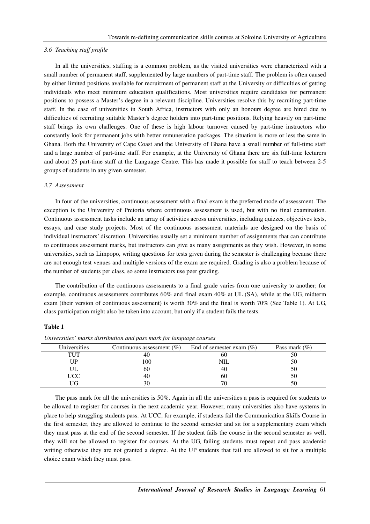#### *3.6 Teaching staff profile*

In all the universities, staffing is a common problem, as the visited universities were characterized with a small number of permanent staff, supplemented by large numbers of part-time staff. The problem is often caused by either limited positions available for recruitment of permanent staff at the University or difficulties of getting individuals who meet minimum education qualifications. Most universities require candidates for permanent positions to possess a Master's degree in a relevant discipline. Universities resolve this by recruiting part-time staff. In the case of universities in South Africa, instructors with only an honours degree are hired due to difficulties of recruiting suitable Master's degree holders into part-time positions. Relying heavily on part-time staff brings its own challenges. One of these is high labour turnover caused by part-time instructors who constantly look for permanent jobs with better remuneration packages. The situation is more or less the same in Ghana. Both the University of Cape Coast and the University of Ghana have a small number of full-time staff and a large number of part-time staff. For example, at the University of Ghana there are six full-time lecturers and about 25 part-time staff at the Language Centre. This has made it possible for staff to teach between 2-5 groups of students in any given semester.

### *3.7 Assessment*

In four of the universities, continuous assessment with a final exam is the preferred mode of assessment. The exception is the University of Pretoria where continuous assessment is used, but with no final examination. Continuous assessment tasks include an array of activities across universities, including quizzes, objectives tests, essays, and case study projects. Most of the continuous assessment materials are designed on the basis of individual instructors' discretion. Universities usually set a minimum number of assignments that can contribute to continuous assessment marks, but instructors can give as many assignments as they wish. However, in some universities, such as Limpopo, writing questions for tests given during the semester is challenging because there are not enough test venues and multiple versions of the exam are required. Grading is also a problem because of the number of students per class, so some instructors use peer grading.

The contribution of the continuous assessments to a final grade varies from one university to another; for example, continuous assessments contributes 60% and final exam 40% at UL (SA), while at the UG, midterm exam (their version of continuous assessment) is worth 30% and the final is worth 70% (See Table 1). At UG, class participation might also be taken into account, but only if a student fails the tests.

# **Table 1**

Universities Continuous assessment (%) End of semester exam (%) Pass mark (%)  $TUT$  40 60 50 UP 100 NIL 50 UL 60  $40$  50 UCC  $40 \t\t 60 \t\t 50$ UG 30 30 70 50

*Universities' marks distribution and pass mark for language courses* 

The pass mark for all the universities is 50%. Again in all the universities a pass is required for students to be allowed to register for courses in the next academic year. However, many universities also have systems in place to help struggling students pass. At UCC, for example, if students fail the Communication Skills Course in the first semester, they are allowed to continue to the second semester and sit for a supplementary exam which they must pass at the end of the second semester. If the student fails the course in the second semester as well, they will not be allowed to register for courses. At the UG, failing students must repeat and pass academic writing otherwise they are not granted a degree. At the UP students that fail are allowed to sit for a multiple choice exam which they must pass.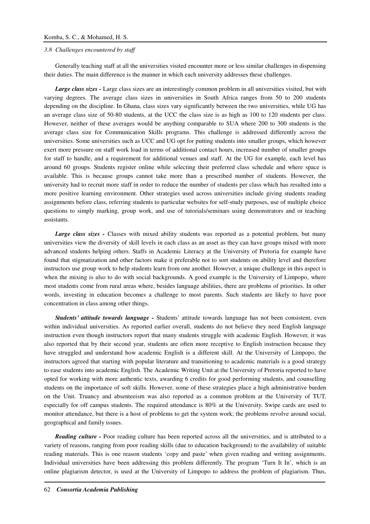#### *3.8 Challenges encountered by staff*

Generally teaching staff at all the universities visited encounter more or less similar challenges in dispensing their duties. The main difference is the manner in which each university addresses these challenges.

*Large class sizes -* Large class sizes are an interestingly common problem in all universities visited, but with varying degrees. The average class sizes in universities in South Africa ranges from 50 to 200 students depending on the discipline. In Ghana, class sizes vary significantly between the two universities, while UG has an average class size of 50-80 students, at the UCC the class size is as high as 100 to 120 students per class. However, neither of these averages would be anything comparable to SUA where 200 to 300 students is the average class size for Communication Skills programs. This challenge is addressed differently across the universities. Some universities such as UCC and UG opt for putting students into smaller groups, which however exert more pressure on staff work load in terms of additional contact hours, increased number of smaller groups for staff to handle, and a requirement for additional venues and staff. At the UG for example, each level has around 60 groups. Students register online while selecting their preferred class schedule and where space is available. This is because groups cannot take more than a prescribed number of students. However, the university had to recruit more staff in order to reduce the number of students per class which has resulted into a more positive learning environment. Other strategies used across universities include giving students reading assignments before class, referring students to particular websites for self-study purposes, use of multiple choice questions to simply marking, group work, and use of tutorials/seminars using demonstrators and or teaching assistants.

*Large class sizes -* Classes with mixed ability students was reported as a potential problem, but many universities view the diversity of skill levels in each class as an asset as they can have groups mixed with more advanced students helping others. Staffs in Academic Literacy at the University of Pretoria for example have found that stigmatization and other factors make it preferable not to sort students on ability level and therefore instructors use group work to help students learn from one another. However, a unique challenge in this aspect is when the mixing is also to do with social backgrounds. A good example is the University of Limpopo, where most students come from rural areas where, besides language abilities, there are problems of priorities. In other words, investing in education becomes a challenge to most parents. Such students are likely to have poor concentration in class among other things.

*Students' attitude towards language -* Students' attitude towards language has not been consistent, even within individual universities. As reported earlier overall, students do not believe they need English language instruction even though instructors report that many students struggle with academic English. However, it was also reported that by their second year, students are often more receptive to English instruction because they have struggled and understand how academic English is a different skill. At the University of Limpopo, the instructors agreed that starting with popular literature and transitioning to academic materials is a good strategy to ease students into academic English. The Academic Writing Unit at the University of Pretoria reported to have opted for working with more authentic texts, awarding 6 credits for good performing students, and counselling students on the importance of soft skills. However, some of these strategies place a high administrative burden on the Unit. Truancy and absenteeism was also reported as a common problem at the University of TUT, especially for off campus students. The required attendance is 80% at the University. Swipe cards are used to monitor attendance, but there is a host of problems to get the system work; the problems revolve around social, geographical and family issues.

*Reading culture -* Poor reading culture has been reported across all the universities, and is attributed to a variety of reasons, ranging from poor reading skills (due to education background) to the availability of suitable reading materials. This is one reason students 'copy and paste' when given reading and writing assignments. Individual universities have been addressing this problem differently. The program 'Turn It In', which is an online plagiarism detector, is used at the University of Limpopo to address the problem of plagiarism. Thus,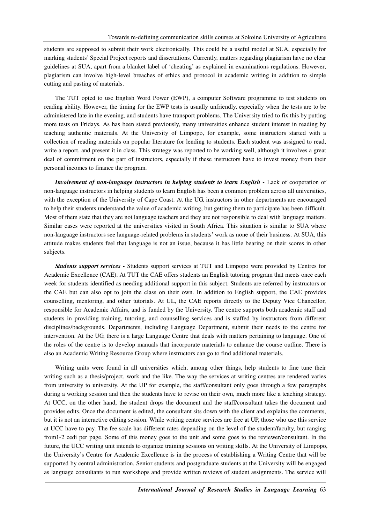students are supposed to submit their work electronically. This could be a useful model at SUA, especially for marking students' Special Project reports and dissertations. Currently, matters regarding plagiarism have no clear guidelines at SUA, apart from a blanket label of 'cheating' as explained in examinations regulations. However, plagiarism can involve high-level breaches of ethics and protocol in academic writing in addition to simple cutting and pasting of materials.

The TUT opted to use English Word Power (EWP), a computer Software programme to test students on reading ability. However, the timing for the EWP tests is usually unfriendly, especially when the tests are to be administered late in the evening, and students have transport problems. The University tried to fix this by putting more tests on Fridays. As has been stated previously, many universities enhance student interest in reading by teaching authentic materials. At the University of Limpopo, for example, some instructors started with a collection of reading materials on popular literature for lending to students. Each student was assigned to read, write a report, and present it in class. This strategy was reported to be working well, although it involves a great deal of commitment on the part of instructors, especially if these instructors have to invest money from their personal incomes to finance the program.

*Involvement of non-language instructors in helping students to learn English - Lack of cooperation of* non-language instructors in helping students to learn English has been a common problem across all universities, with the exception of the University of Cape Coast. At the UG, instructors in other departments are encouraged to help their students understand the value of academic writing, but getting them to participate has been difficult. Most of them state that they are not language teachers and they are not responsible to deal with language matters. Similar cases were reported at the universities visited in South Africa. This situation is similar to SUA where non-language instructors see language-related problems in students' work as none of their business. At SUA, this attitude makes students feel that language is not an issue, because it has little bearing on their scores in other subjects.

*Students support services -* Students support services at TUT and Limpopo were provided by Centres for Academic Excellence (CAE). At TUT the CAE offers students an English tutoring program that meets once each week for students identified as needing additional support in this subject. Students are referred by instructors or the CAE but can also opt to join the class on their own. In addition to English support, the CAE provides counselling, mentoring, and other tutorials. At UL, the CAE reports directly to the Deputy Vice Chancellor, responsible for Academic Affairs, and is funded by the University. The centre supports both academic staff and students in providing training, tutoring, and counselling services and is staffed by instructors from different disciplines/backgrounds. Departments, including Language Department, submit their needs to the centre for intervention. At the UG, there is a large Language Centre that deals with matters pertaining to language. One of the roles of the centre is to develop manuals that incorporate materials to enhance the course outline. There is also an Academic Writing Resource Group where instructors can go to find additional materials.

Writing units were found in all universities which, among other things, help students to fine tune their writing such as a thesis/project, work and the like. The way the services at writing centres are rendered varies from university to university. At the UP for example, the staff/consultant only goes through a few paragraphs during a working session and then the students have to revise on their own, much more like a teaching strategy. At UCC, on the other hand, the student drops the document and the staff/consultant takes the document and provides edits. Once the document is edited, the consultant sits down with the client and explains the comments, but it is not an interactive editing session. While writing centre services are free at UP, those who use this service at UCC have to pay. The fee scale has different rates depending on the level of the student/faculty, but ranging from1-2 cedi per page. Some of this money goes to the unit and some goes to the reviewer/consultant. In the future, the UCC writing unit intends to organize training sessions on writing skills. At the University of Limpopo, the University's Centre for Academic Excellence is in the process of establishing a Writing Centre that will be supported by central administration. Senior students and postgraduate students at the University will be engaged as language consultants to run workshops and provide written reviews of student assignments. The service will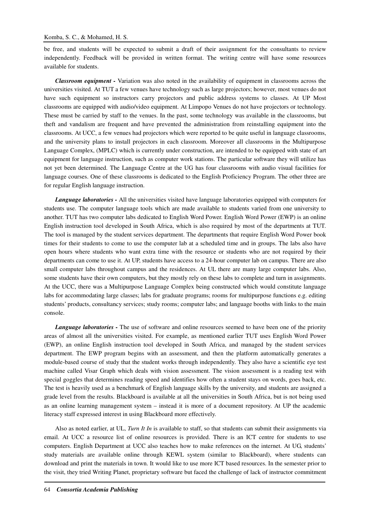be free, and students will be expected to submit a draft of their assignment for the consultants to review independently. Feedback will be provided in written format. The writing centre will have some resources available for students.

*Classroom equipment -* Variation was also noted in the availability of equipment in classrooms across the universities visited. At TUT a few venues have technology such as large projectors; however, most venues do not have such equipment so instructors carry projectors and public address systems to classes. At UP Most classrooms are equipped with audio/video equipment. At Limpopo Venues do not have projectors or technology. These must be carried by staff to the venues. In the past, some technology was available in the classrooms, but theft and vandalism are frequent and have prevented the administration from reinstalling equipment into the classrooms. At UCC, a few venues had projectors which were reported to be quite useful in language classrooms, and the university plans to install projectors in each classroom. Moreover all classrooms in the Multipurpose Language Complex, (MPLC) which is currently under construction, are intended to be equipped with state of art equipment for language instruction, such as computer work stations. The particular software they will utilize has not yet been determined. The Language Centre at the UG has four classrooms with audio visual facilities for language courses. One of these classrooms is dedicated to the English Proficiency Program. The other three are for regular English language instruction.

*Language laboratories -* All the universities visited have language laboratories equipped with computers for students use. The computer language tools which are made available to students varied from one university to another. TUT has two computer labs dedicated to English Word Power. English Word Power (EWP) is an online English instruction tool developed in South Africa, which is also required by most of the departments at TUT. The tool is managed by the student services department. The departments that require English Word Power book times for their students to come to use the computer lab at a scheduled time and in groups. The labs also have open hours where students who want extra time with the resource or students who are not required by their departments can come to use it. At UP, students have access to a 24-hour computer lab on campus. There are also small computer labs throughout campus and the residences. At UL there are many large computer labs. Also, some students have their own computers, but they mostly rely on these labs to complete and turn in assignments. At the UCC, there was a Multipurpose Language Complex being constructed which would constitute language labs for accommodating large classes; labs for graduate programs; rooms for multipurpose functions e.g. editing students' products, consultancy services; study rooms; computer labs; and language booths with links to the main console.

*Language laboratories* - The use of software and online resources seemed to have been one of the priority areas of almost all the universities visited. For example, as mentioned earlier TUT uses English Word Power (EWP), an online English instruction tool developed in South Africa, and managed by the student services department. The EWP program begins with an assessment, and then the platform automatically generates a module-based course of study that the student works through independently. They also have a scientific eye test machine called Visar Graph which deals with vision assessment. The vision assessment is a reading test with special goggles that determines reading speed and identifies how often a student stays on words, goes back, etc. The test is heavily used as a benchmark of English language skills by the university, and students are assigned a grade level from the results. Blackboard is available at all the universities in South Africa, but is not being used as an online learning management system – instead it is more of a document repository. At UP the academic literacy staff expressed interest in using Blackboard more effectively.

Also as noted earlier, at UL, *Turn It In* is available to staff, so that students can submit their assignments via email. At UCC a resource list of online resources is provided. There is an ICT centre for students to use computers. English Department at UCC also teaches how to make references on the internet. At UG, students' study materials are available online through KEWL system (similar to Blackboard), where students can download and print the materials in town. It would like to use more ICT based resources. In the semester prior to the visit, they tried Writing Planet, proprietary software but faced the challenge of lack of instructor commitment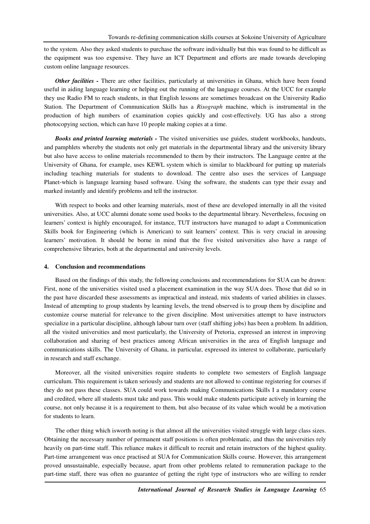to the system. Also they asked students to purchase the software individually but this was found to be difficult as the equipment was too expensive. They have an ICT Department and efforts are made towards developing custom online language resources.

*Other facilities -* There are other facilities, particularly at universities in Ghana, which have been found useful in aiding language learning or helping out the running of the language courses. At the UCC for example they use Radio FM to reach students, in that English lessons are sometimes broadcast on the University Radio Station. The Department of Communication Skills has a *Risograph* machine, which is instrumental in the production of high numbers of examination copies quickly and cost-effectively. UG has also a strong photocopying section, which can have 10 people making copies at a time.

*Books and printed learning materials -* The visited universities use guides, student workbooks, handouts, and pamphlets whereby the students not only get materials in the departmental library and the university library but also have access to online materials recommended to them by their instructors. The Language centre at the University of Ghana, for example, uses KEWL system which is similar to blackboard for putting up materials including teaching materials for students to download. The centre also uses the services of Language Planet-which is language learning based software. Using the software, the students can type their essay and marked instantly and identify problems and tell the instructor.

With respect to books and other learning materials, most of these are developed internally in all the visited universities. Also, at UCC alumni donate some used books to the departmental library. Nevertheless, focusing on learners' context is highly encouraged, for instance, TUT instructors have managed to adapt a Communication Skills book for Engineering (which is American) to suit learners' context. This is very crucial in arousing learners' motivation. It should be borne in mind that the five visited universities also have a range of comprehensive libraries, both at the departmental and university levels.

#### **4. Conclusion and recommendations**

Based on the findings of this study, the following conclusions and recommendations for SUA can be drawn: First, none of the universities visited used a placement examination in the way SUA does. Those that did so in the past have discarded these assessments as impractical and instead, mix students of varied abilities in classes. Instead of attempting to group students by learning levels, the trend observed is to group them by discipline and customize course material for relevance to the given discipline. Most universities attempt to have instructors specialize in a particular discipline, although labour turn over (staff shifting jobs) has been a problem. In addition, all the visited universities and most particularly, the University of Pretoria, expressed an interest in improving collaboration and sharing of best practices among African universities in the area of English language and communications skills. The University of Ghana, in particular, expressed its interest to collaborate, particularly in research and staff exchange.

Moreover, all the visited universities require students to complete two semesters of English language curriculum. This requirement is taken seriously and students are not allowed to continue registering for courses if they do not pass these classes. SUA could work towards making Communications Skills I a mandatory course and credited, where all students must take and pass. This would make students participate actively in learning the course, not only because it is a requirement to them, but also because of its value which would be a motivation for students to learn.

The other thing which isworth noting is that almost all the universities visited struggle with large class sizes. Obtaining the necessary number of permanent staff positions is often problematic, and thus the universities rely heavily on part-time staff. This reliance makes it difficult to recruit and retain instructors of the highest quality. Part-time arrangement was once practised at SUA for Communication Skills course. However, this arrangement proved unsustainable, especially because, apart from other problems related to remuneration package to the part-time staff, there was often no guarantee of getting the right type of instructors who are willing to render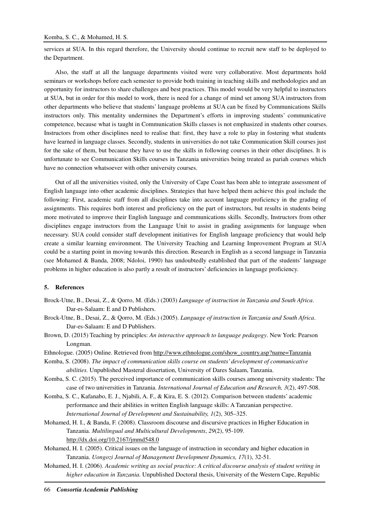services at SUA. In this regard therefore, the University should continue to recruit new staff to be deployed to the Department.

Also, the staff at all the language departments visited were very collaborative. Most departments hold seminars or workshops before each semester to provide both training in teaching skills and methodologies and an opportunity for instructors to share challenges and best practices. This model would be very helpful to instructors at SUA, but in order for this model to work, there is need for a change of mind set among SUA instructors from other departments who believe that students' language problems at SUA can be fixed by Communications Skills instructors only. This mentality undermines the Department's efforts in improving students' communicative competence, because what is taught in Communication Skills classes is not emphasized in students other courses. Instructors from other disciplines need to realise that: first, they have a role to play in fostering what students have learned in language classes. Secondly, students in universities do not take Communication Skill courses just for the sake of them, but because they have to use the skills in following courses in their other disciplines. It is unfortunate to see Communication Skills courses in Tanzania universities being treated as pariah courses which have no connection whatsoever with other university courses.

Out of all the universities visited, only the University of Cape Coast has been able to integrate assessment of English language into other academic disciplines. Strategies that have helped them achieve this goal include the following: First, academic staff from all disciplines take into account language proficiency in the grading of assignments. This requires both interest and proficiency on the part of instructors, but results in students being more motivated to improve their English language and communications skills. Secondly, Instructors from other disciplines engage instructors from the Language Unit to assist in grading assignments for language when necessary. SUA could consider staff development initiatives for English language proficiency that would help create a similar learning environment. The University Teaching and Learning Improvement Program at SUA could be a starting point in moving towards this direction. Research in English as a second language in Tanzania (see Mohamed & Banda, 2008; Ndoloi, 1990) has undoubtedly established that part of the students' language problems in higher education is also partly a result of instructors' deficiencies in language proficiency.

# **5. References**

- Brock-Utne, B., Desai, Z., & Qorro, M. (Eds.) (2003) *Language of instruction in Tanzania and South Africa*. Dar-es-Salaam: E and D Publishers.
- Brock-Utne, B., Desai, Z., & Qorro, M. (Eds.) (2005). *Language of instruction in Tanzania and South Africa*. Dar-es-Salaam: E and D Publishers.
- Brown, D. (2015) Teaching by principles: *An interactive approach to language pedagogy*. New York: Pearson Longman.
- Ethnologue. (2005) Online. Retrieved from http://www.ethnologue.com/show\_country.asp?name=Tanzania
- Komba, S. (2008). *The impact of communication skills course on students' development of communicative abilities.* Unpublished Masteral dissertation, University of Dares Salaam, Tanzania.
- Komba, S. C. (2015). The perceived importance of communication skills courses among university students: The case of two universities in Tanzania. *International Journal of Education and Research, 3*(2), 497-508.
- Komba, S. C., Kafanabo, E. J., Njabili, A. F., & Kira, E. S. (2012). Comparison between students' academic performance and their abilities in written English language skills: A Tanzanian perspective. *International Journal of Development and Sustainability, 1*(2), 305–325.
- Mohamed, H. I., & Banda, F. (2008). Classroom discourse and discursive practices in Higher Education in Tanzania. *Multilingual and Multicultural Developments*, *29*(2), 95-109. http://dx.doi.org/10.2167/jmmd548.0
- Mohamed, H. I. (2005). Critical issues on the language of instruction in secondary and higher education in Tanzania. *Uongozi Journal of Management Development Dynamics, 17*(1), 32-51.
- Mohamed, H. I. (2006). *Academic writing as social practice: A critical discourse analysis of student writing in higher education in Tanzania.* Unpublished Doctoral thesis, University of the Western Cape, Republic